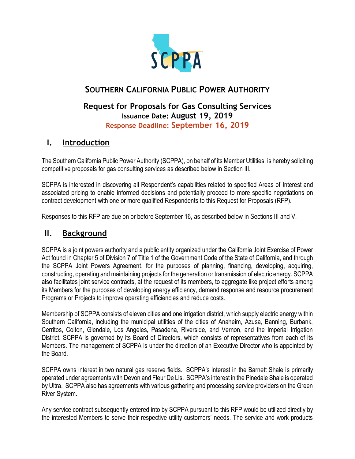

# **SOUTHERN CALIFORNIA PUBLIC POWER AUTHORITY**

## **Request for Proposals for Gas Consulting Services Issuance Date: August 19, 2019 Response Deadline: September 16, 2019**

# **I. Introduction**

The Southern California Public Power Authority (SCPPA), on behalf of its Member Utilities, is hereby soliciting competitive proposals for gas consulting services as described below in Section III.

SCPPA is interested in discovering all Respondent's capabilities related to specified Areas of Interest and associated pricing to enable informed decisions and potentially proceed to more specific negotiations on contract development with one or more qualified Respondents to this Request for Proposals (RFP).

Responses to this RFP are due on or before September 16, as described below in Sections III and V.

## **II. Background**

SCPPA is a joint powers authority and a public entity organized under the California Joint Exercise of Power Act found in Chapter 5 of Division 7 of Title 1 of the Government Code of the State of California, and through the SCPPA Joint Powers Agreement, for the purposes of planning, financing, developing, acquiring, constructing, operating and maintaining projects for the generation or transmission of electric energy. SCPPA also facilitates joint service contracts, at the request of its members, to aggregate like project efforts among its Members for the purposes of developing energy efficiency, demand response and resource procurement Programs or Projects to improve operating efficiencies and reduce costs.

Membership of SCPPA consists of eleven cities and one irrigation district, which supply electric energy within Southern California, including the municipal utilities of the cities of Anaheim, Azusa, Banning, Burbank, Cerritos, Colton, Glendale, Los Angeles, Pasadena, Riverside, and Vernon, and the Imperial Irrigation District. SCPPA is governed by its Board of Directors, which consists of representatives from each of its Members. The management of SCPPA is under the direction of an Executive Director who is appointed by the Board.

SCPPA owns interest in two natural gas reserve fields. SCPPA's interest in the Barnett Shale is primarily operated under agreements with Devon and Fleur De Lis. SCPPA's interest in the Pinedale Shale is operated by Ultra. SCPPA also has agreements with various gathering and processing service providers on the Green River System.

Any service contract subsequently entered into by SCPPA pursuant to this RFP would be utilized directly by the interested Members to serve their respective utility customers' needs. The service and work products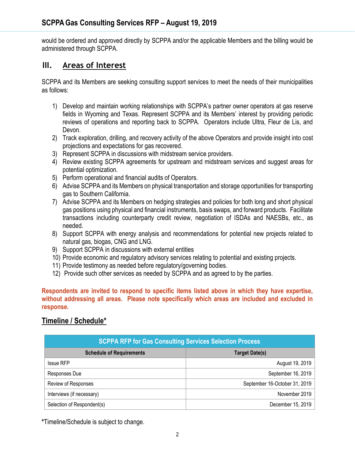would be ordered and approved directly by SCPPA and/or the applicable Members and the billing would be administered through SCPPA.

## **III. Areas of Interest**

SCPPA and its Members are seeking consulting support services to meet the needs of their municipalities as follows:

- 1) Develop and maintain working relationships with SCPPA's partner owner operators at gas reserve fields in Wyoming and Texas. Represent SCPPA and its Members' interest by providing periodic reviews of operations and reporting back to SCPPA. Operators include Ultra, Fleur de Lis, and Devon.
- 2) Track exploration, drilling, and recovery activity of the above Operators and provide insight into cost projections and expectations for gas recovered.
- 3) Represent SCPPA in discussions with midstream service providers.
- 4) Review existing SCPPA agreements for upstream and midstream services and suggest areas for potential optimization.
- 5) Perform operational and financial audits of Operators.
- 6) Advise SCPPA and its Members on physical transportation and storage opportunities for transporting gas to Southern California.
- 7) Advise SCPPA and its Members on hedging strategies and policies for both long and short physical gas positions using physical and financial instruments, basis swaps, and forward products. Facilitate transactions including counterparty credit review, negotiation of ISDAs and NAESBs, etc., as needed.
- 8) Support SCPPA with energy analysis and recommendations for potential new projects related to natural gas, biogas, CNG and LNG.
- 9) Support SCPPA in discussions with external entities
- 10) Provide economic and regulatory advisory services relating to potential and existing projects.
- 11) Provide testimony as needed before regulatory/governing bodies.
- 12) Provide such other services as needed by SCPPA and as agreed to by the parties.

#### **Respondents are invited to respond to specific items listed above in which they have expertise, without addressing all areas. Please note specifically which areas are included and excluded in response.**

### **Timeline / Schedule\***

| <b>SCPPA RFP for Gas Consulting Services Selection Process</b> |                               |
|----------------------------------------------------------------|-------------------------------|
| <b>Schedule of Requirements</b>                                | <b>Target Date(s)</b>         |
| <b>Issue RFP</b>                                               | August 19, 2019               |
| Responses Due                                                  | September 16, 2019            |
| Review of Responses                                            | September 16-October 31, 2019 |
| Interviews (if necessary)                                      | November 2019                 |
| Selection of Respondent(s)                                     | December 15, 2019             |

**\***Timeline/Schedule is subject to change.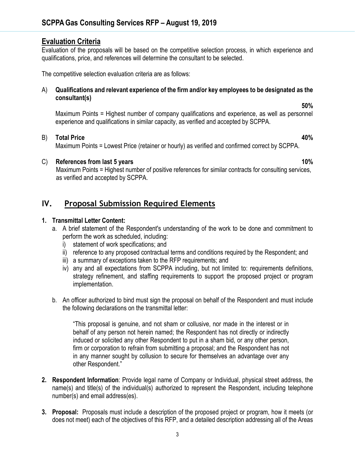### **Evaluation Criteria**

Evaluation of the proposals will be based on the competitive selection process, in which experience and qualifications, price, and references will determine the consultant to be selected.

The competitive selection evaluation criteria are as follows:

#### A) **Qualifications and relevant experience of the firm and/or key employees to be designated as the consultant(s)**

Maximum Points = Highest number of company qualifications and experience, as well as personnel experience and qualifications in similar capacity, as verified and accepted by SCPPA.

**50%**

#### B) **Total Price 40%**

Maximum Points = Lowest Price (retainer or hourly) as verified and confirmed correct by SCPPA.

#### C) **References from last 5 years 10%** and 10%

 Maximum Points = Highest number of positive references for similar contracts for consulting services, as verified and accepted by SCPPA.

### **IV. Proposal Submission Required Elements**

#### **1. Transmittal Letter Content:**

- a. A brief statement of the Respondent's understanding of the work to be done and commitment to perform the work as scheduled, including:
	- i) statement of work specifications; and
	- ii) reference to any proposed contractual terms and conditions required by the Respondent; and
	- iii) a summary of exceptions taken to the RFP requirements; and
	- iv) any and all expectations from SCPPA including, but not limited to: requirements definitions, strategy refinement, and staffing requirements to support the proposed project or program implementation.
- b. An officer authorized to bind must sign the proposal on behalf of the Respondent and must include the following declarations on the transmittal letter:

"This proposal is genuine, and not sham or collusive, nor made in the interest or in behalf of any person not herein named; the Respondent has not directly or indirectly induced or solicited any other Respondent to put in a sham bid, or any other person, firm or corporation to refrain from submitting a proposal; and the Respondent has not in any manner sought by collusion to secure for themselves an advantage over any other Respondent."

- **2. Respondent Information**: Provide legal name of Company or Individual, physical street address, the name(s) and title(s) of the individual(s) authorized to represent the Respondent, including telephone number(s) and email address(es).
- **3. Proposal:** Proposals must include a description of the proposed project or program, how it meets (or does not meet) each of the objectives of this RFP, and a detailed description addressing all of the Areas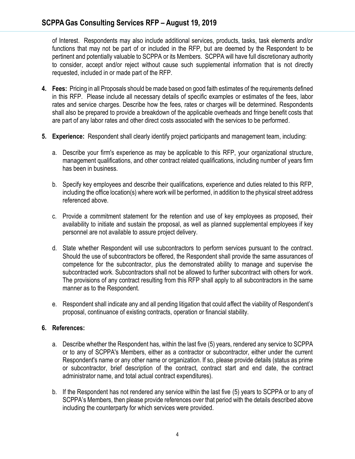of Interest. Respondents may also include additional services, products, tasks, task elements and/or functions that may not be part of or included in the RFP, but are deemed by the Respondent to be pertinent and potentially valuable to SCPPA or its Members. SCPPA will have full discretionary authority to consider, accept and/or reject without cause such supplemental information that is not directly requested, included in or made part of the RFP.

- **4. Fees:** Pricing in all Proposals should be made based on good faith estimates of the requirements defined in this RFP. Please include all necessary details of specific examples or estimates of the fees, labor rates and service charges. Describe how the fees, rates or charges will be determined. Respondents shall also be prepared to provide a breakdown of the applicable overheads and fringe benefit costs that are part of any labor rates and other direct costs associated with the services to be performed.
- **5. Experience:** Respondent shall clearly identify project participants and management team, including:
	- a. Describe your firm's experience as may be applicable to this RFP, your organizational structure, management qualifications, and other contract related qualifications, including number of years firm has been in business.
	- b. Specify key employees and describe their qualifications, experience and duties related to this RFP, including the office location(s) where work will be performed, in addition to the physical street address referenced above.
	- c. Provide a commitment statement for the retention and use of key employees as proposed, their availability to initiate and sustain the proposal, as well as planned supplemental employees if key personnel are not available to assure project delivery.
	- d. State whether Respondent will use subcontractors to perform services pursuant to the contract. Should the use of subcontractors be offered, the Respondent shall provide the same assurances of competence for the subcontractor, plus the demonstrated ability to manage and supervise the subcontracted work. Subcontractors shall not be allowed to further subcontract with others for work. The provisions of any contract resulting from this RFP shall apply to all subcontractors in the same manner as to the Respondent.
	- e. Respondent shall indicate any and all pending litigation that could affect the viability of Respondent's proposal, continuance of existing contracts, operation or financial stability.

### **6. References:**

- a. Describe whether the Respondent has, within the last five (5) years, rendered any service to SCPPA or to any of SCPPA's Members, either as a contractor or subcontractor, either under the current Respondent's name or any other name or organization. If so, please provide details (status as prime or subcontractor, brief description of the contract, contract start and end date, the contract administrator name, and total actual contract expenditures).
- b. If the Respondent has not rendered any service within the last five (5) years to SCPPA or to any of SCPPA's Members, then please provide references over that period with the details described above including the counterparty for which services were provided.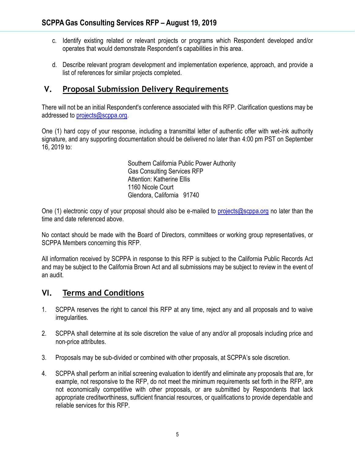- c. Identify existing related or relevant projects or programs which Respondent developed and/or operates that would demonstrate Respondent's capabilities in this area.
- d. Describe relevant program development and implementation experience, approach, and provide a list of references for similar projects completed.

# **V. Proposal Submission Delivery Requirements**

There will not be an initial Respondent's conference associated with this RFP. Clarification questions may be addressed to [projects@scppa.org.](mailto:projects@scppa.org)

One (1) hard copy of your response, including a transmittal letter of authentic offer with wet-ink authority signature, and any supporting documentation should be delivered no later than 4:00 pm PST on September 16, 2019 to:

> Southern California Public Power Authority Gas Consulting Services RFP Attention: Katherine Ellis 1160 Nicole Court Glendora, California 91740

One (1) electronic copy of your proposal should also be e-mailed to [projects@scppa.org](mailto:projects@scppa.org) no later than the time and date referenced above.

No contact should be made with the Board of Directors, committees or working group representatives, or SCPPA Members concerning this RFP.

All information received by SCPPA in response to this RFP is subject to the California Public Records Act and may be subject to the California Brown Act and all submissions may be subject to review in the event of an audit.

# **VI. Terms and Conditions**

- 1. SCPPA reserves the right to cancel this RFP at any time, reject any and all proposals and to waive irregularities.
- 2. SCPPA shall determine at its sole discretion the value of any and/or all proposals including price and non-price attributes.
- 3. Proposals may be sub-divided or combined with other proposals, at SCPPA's sole discretion.
- 4. SCPPA shall perform an initial screening evaluation to identify and eliminate any proposals that are, for example, not responsive to the RFP, do not meet the minimum requirements set forth in the RFP, are not economically competitive with other proposals, or are submitted by Respondents that lack appropriate creditworthiness, sufficient financial resources, or qualifications to provide dependable and reliable services for this RFP.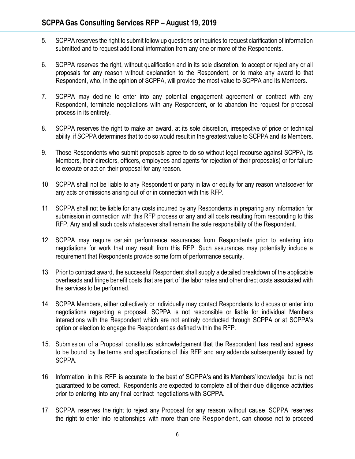- 5. SCPPA reserves the right to submit follow up questions or inquiries to request clarification of information submitted and to request additional information from any one or more of the Respondents.
- 6. SCPPA reserves the right, without qualification and in its sole discretion, to accept or reject any or all proposals for any reason without explanation to the Respondent, or to make any award to that Respondent, who, in the opinion of SCPPA, will provide the most value to SCPPA and its Members.
- 7. SCPPA may decline to enter into any potential engagement agreement or contract with any Respondent, terminate negotiations with any Respondent, or to abandon the request for proposal process in its entirety.
- 8. SCPPA reserves the right to make an award, at its sole discretion, irrespective of price or technical ability, if SCPPA determines that to do so would result in the greatest value to SCPPA and its Members.
- 9. Those Respondents who submit proposals agree to do so without legal recourse against SCPPA, its Members, their directors, officers, employees and agents for rejection of their proposal(s) or for failure to execute or act on their proposal for any reason.
- 10. SCPPA shall not be liable to any Respondent or party in law or equity for any reason whatsoever for any acts or omissions arising out of or in connection with this RFP.
- 11. SCPPA shall not be liable for any costs incurred by any Respondents in preparing any information for submission in connection with this RFP process or any and all costs resulting from responding to this RFP. Any and all such costs whatsoever shall remain the sole responsibility of the Respondent.
- 12. SCPPA may require certain performance assurances from Respondents prior to entering into negotiations for work that may result from this RFP. Such assurances may potentially include a requirement that Respondents provide some form of performance security.
- 13. Prior to contract award, the successful Respondent shall supply a detailed breakdown of the applicable overheads and fringe benefit costs that are part of the labor rates and other direct costs associated with the services to be performed.
- 14. SCPPA Members, either collectively or individually may contact Respondents to discuss or enter into negotiations regarding a proposal. SCPPA is not responsible or liable for individual Members interactions with the Respondent which are not entirely conducted through SCPPA or at SCPPA's option or election to engage the Respondent as defined within the RFP.
- 15. Submission of a Proposal constitutes acknowledgement that the Respondent has read and agrees to be bound by the terms and specifications of this RFP and any addenda subsequently issued by SCPPA.
- 16. Information in this RFP is accurate to the best of SCPPA's and its Members' knowledge but is not guaranteed to be correct. Respondents are expected to complete all of their due diligence activities prior to entering into any final contract negotiations with SCPPA.
- 17. SCPPA reserves the right to reject any Proposal for any reason without cause. SCPPA reserves the right to enter into relationships with more than one Respondent, can choose not to proceed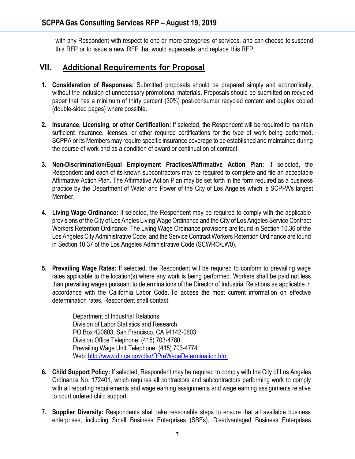with any Respondent with respect to one or more categories of services, and can choose to suspend this RFP or to issue a new RFP that would supersede and replace this RFP.

## **VII. Additional Requirements for Proposal**

- **1. Consideration of Responses:** Submitted proposals should be prepared simply and economically, without the inclusion of unnecessary promotional materials. Proposals should be submitted on recycled paper that has a minimum of thirty percent (30%) post-consumer recycled content and duplex copied (double-sided pages) where possible.
- **2. Insurance, Licensing, or other Certification:** If selected, the Respondent will be required to maintain sufficient insurance, licenses, or other required certifications for the type of work being performed. SCPPA or its Members may require specific insurance coverage to be established and maintained during the course of work and as a condition of award or continuation of contract.
- **3. Non-Discrimination/Equal Employment Practices/Affirmative Action Plan:** If selected, the Respondent and each of its known subcontractors may be required to complete and file an acceptable Affirmative Action Plan. The Affirmative Action Plan may be set forth in the form required as a business practice by the Department of Water and Power of the City of Los Angeles which is SCPPA's largest Member.
- **4. Living Wage Ordinance:** If selected, the Respondent may be required to comply with the applicable provisions of the City of Los Angles Living Wage Ordinance and the City of Los Angeles Service Contract Workers Retention Ordinance. The Living Wage Ordinance provisions are found in Section 10.36 of the Los Angeles City Administrative Code; and the Service Contract Workers Retention Ordinance are found in Section 10.37 of the Los Angeles Administrative Code (SCWRO/LW0).
- **5. Prevailing Wage Rates:** If selected, the Respondent will be required to conform to prevailing wage rates applicable to the location(s) where any work is being performed. Workers shall be paid not less than prevailing wages pursuant to determinations of the Director of Industrial Relations as applicable in accordance with the California Labor Code. To access the most current information on effective determination rates, Respondent shall contact:

Department of Industrial Relations Division of Labor Statistics and Research PO Box 420603, San Francisco, CA 94142-0603 Division Office Telephone: (415) 703-4780 Prevailing Wage Unit Telephone: (415) 703-4774 Web[: http://www.dir.ca.gov/dlsr/DPreWageDetermination.htm](http://www.dir.ca.gov/dlsr/DPreWageDetermination.htm)

- **6. Child Support Policy:** If selected, Respondent may be required to comply with the City of Los Angeles Ordinance No. 172401, which requires all contractors and subcontractors performing work to comply with all reporting requirements and wage earning assignments and wage earning assignments relative to court ordered child support.
- **7. Supplier Diversity:** Respondents shall take reasonable steps to ensure that all available business enterprises, including Small Business Enterprises (SBEs), Disadvantaged Business Enterprises